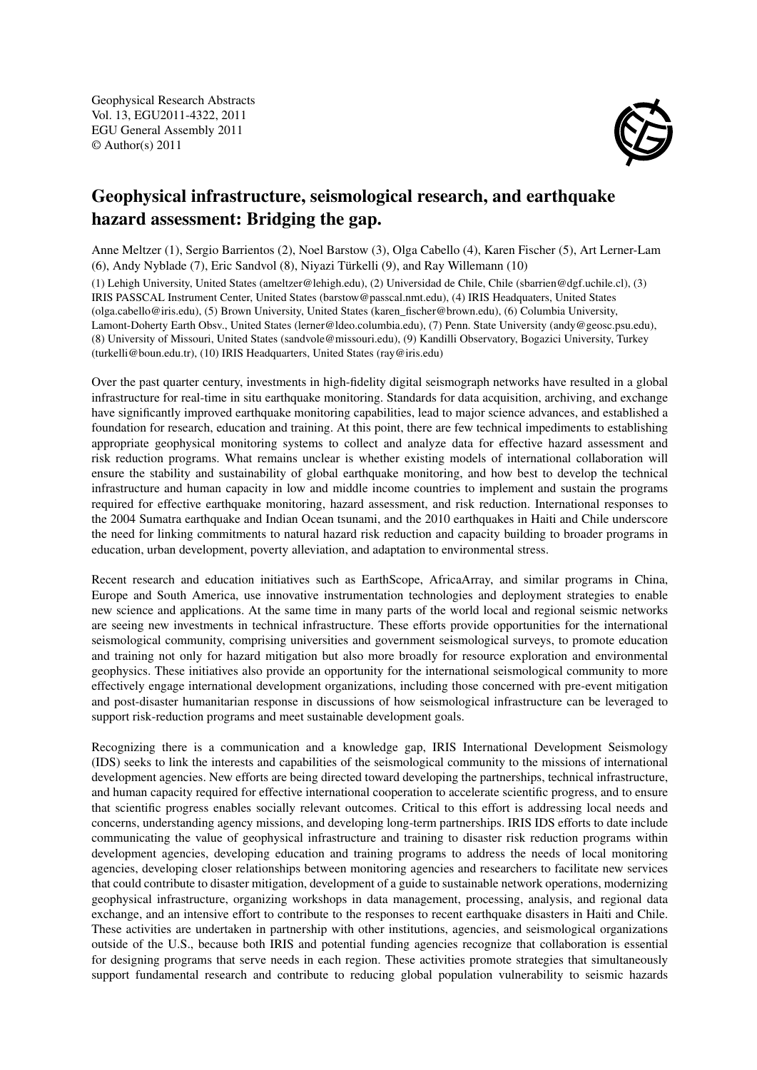Geophysical Research Abstracts Vol. 13, EGU2011-4322, 2011 EGU General Assembly 2011 © Author(s) 2011



## Geophysical infrastructure, seismological research, and earthquake hazard assessment: Bridging the gap.

Anne Meltzer (1), Sergio Barrientos (2), Noel Barstow (3), Olga Cabello (4), Karen Fischer (5), Art Lerner-Lam (6), Andy Nyblade (7), Eric Sandvol (8), Niyazi Türkelli (9), and Ray Willemann (10)

(1) Lehigh University, United States (ameltzer@lehigh.edu), (2) Universidad de Chile, Chile (sbarrien@dgf.uchile.cl), (3) IRIS PASSCAL Instrument Center, United States (barstow@passcal.nmt.edu), (4) IRIS Headquaters, United States (olga.cabello@iris.edu), (5) Brown University, United States (karen\_fischer@brown.edu), (6) Columbia University, Lamont-Doherty Earth Obsv., United States (lerner@ldeo.columbia.edu), (7) Penn. State University (andy@geosc.psu.edu), (8) University of Missouri, United States (sandvole@missouri.edu), (9) Kandilli Observatory, Bogazici University, Turkey (turkelli@boun.edu.tr), (10) IRIS Headquarters, United States (ray@iris.edu)

Over the past quarter century, investments in high-fidelity digital seismograph networks have resulted in a global infrastructure for real-time in situ earthquake monitoring. Standards for data acquisition, archiving, and exchange have significantly improved earthquake monitoring capabilities, lead to major science advances, and established a foundation for research, education and training. At this point, there are few technical impediments to establishing appropriate geophysical monitoring systems to collect and analyze data for effective hazard assessment and risk reduction programs. What remains unclear is whether existing models of international collaboration will ensure the stability and sustainability of global earthquake monitoring, and how best to develop the technical infrastructure and human capacity in low and middle income countries to implement and sustain the programs required for effective earthquake monitoring, hazard assessment, and risk reduction. International responses to the 2004 Sumatra earthquake and Indian Ocean tsunami, and the 2010 earthquakes in Haiti and Chile underscore the need for linking commitments to natural hazard risk reduction and capacity building to broader programs in education, urban development, poverty alleviation, and adaptation to environmental stress.

Recent research and education initiatives such as EarthScope, AfricaArray, and similar programs in China, Europe and South America, use innovative instrumentation technologies and deployment strategies to enable new science and applications. At the same time in many parts of the world local and regional seismic networks are seeing new investments in technical infrastructure. These efforts provide opportunities for the international seismological community, comprising universities and government seismological surveys, to promote education and training not only for hazard mitigation but also more broadly for resource exploration and environmental geophysics. These initiatives also provide an opportunity for the international seismological community to more effectively engage international development organizations, including those concerned with pre-event mitigation and post-disaster humanitarian response in discussions of how seismological infrastructure can be leveraged to support risk-reduction programs and meet sustainable development goals.

Recognizing there is a communication and a knowledge gap, IRIS International Development Seismology (IDS) seeks to link the interests and capabilities of the seismological community to the missions of international development agencies. New efforts are being directed toward developing the partnerships, technical infrastructure, and human capacity required for effective international cooperation to accelerate scientific progress, and to ensure that scientific progress enables socially relevant outcomes. Critical to this effort is addressing local needs and concerns, understanding agency missions, and developing long-term partnerships. IRIS IDS efforts to date include communicating the value of geophysical infrastructure and training to disaster risk reduction programs within development agencies, developing education and training programs to address the needs of local monitoring agencies, developing closer relationships between monitoring agencies and researchers to facilitate new services that could contribute to disaster mitigation, development of a guide to sustainable network operations, modernizing geophysical infrastructure, organizing workshops in data management, processing, analysis, and regional data exchange, and an intensive effort to contribute to the responses to recent earthquake disasters in Haiti and Chile. These activities are undertaken in partnership with other institutions, agencies, and seismological organizations outside of the U.S., because both IRIS and potential funding agencies recognize that collaboration is essential for designing programs that serve needs in each region. These activities promote strategies that simultaneously support fundamental research and contribute to reducing global population vulnerability to seismic hazards